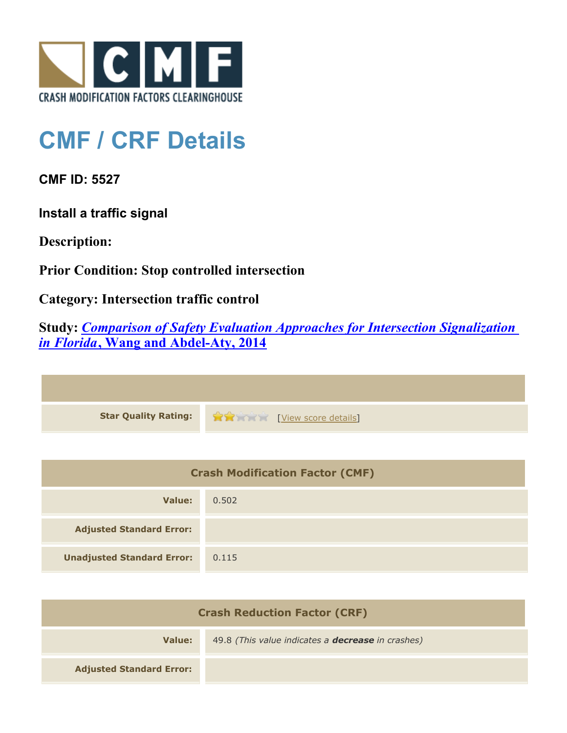

## **CMF / CRF Details**

**CMF ID: 5527**

**Install a traffic signal**

**Description:** 

**Prior Condition: Stop controlled intersection**

**Category: Intersection traffic control**

**Study:** *[Comparison of Safety Evaluation Approaches for Intersection Signalization](http://www.cmfclearinghouse.org/study_detail.cfm?stid=356) [in Florida](http://www.cmfclearinghouse.org/study_detail.cfm?stid=356)***[, Wang and Abdel-Aty, 2014](http://www.cmfclearinghouse.org/study_detail.cfm?stid=356)**

| Star Quality Rating: 1999 [View score details] |
|------------------------------------------------|

| <b>Crash Modification Factor (CMF)</b> |       |
|----------------------------------------|-------|
| Value:                                 | 0.502 |
| <b>Adjusted Standard Error:</b>        |       |
| <b>Unadjusted Standard Error:</b>      | 0.115 |

| <b>Crash Reduction Factor (CRF)</b> |                                                          |
|-------------------------------------|----------------------------------------------------------|
| Value:                              | 49.8 (This value indicates a <b>decrease</b> in crashes) |
| <b>Adjusted Standard Error:</b>     |                                                          |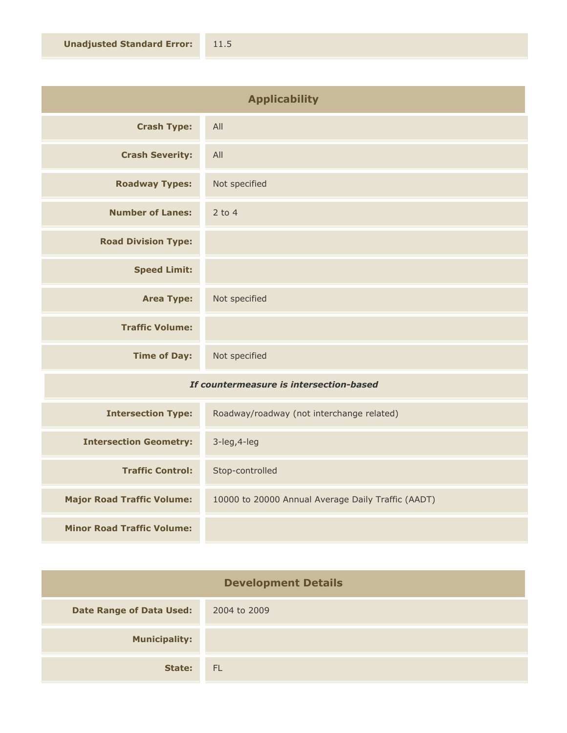| <b>Applicability</b>                    |               |
|-----------------------------------------|---------------|
| <b>Crash Type:</b>                      | All           |
| <b>Crash Severity:</b>                  | All           |
| <b>Roadway Types:</b>                   | Not specified |
| <b>Number of Lanes:</b>                 | $2$ to 4      |
| <b>Road Division Type:</b>              |               |
| <b>Speed Limit:</b>                     |               |
| <b>Area Type:</b>                       | Not specified |
| <b>Traffic Volume:</b>                  |               |
| <b>Time of Day:</b>                     | Not specified |
| If countermeasure is intersection-based |               |

| <b>Intersection Type:</b>         | Roadway/roadway (not interchange related)          |
|-----------------------------------|----------------------------------------------------|
| <b>Intersection Geometry:</b>     | $3$ -leg, $4$ -leg                                 |
| <b>Traffic Control:</b>           | Stop-controlled                                    |
| <b>Major Road Traffic Volume:</b> | 10000 to 20000 Annual Average Daily Traffic (AADT) |
| <b>Minor Road Traffic Volume:</b> |                                                    |

| <b>Development Details</b>      |              |
|---------------------------------|--------------|
| <b>Date Range of Data Used:</b> | 2004 to 2009 |
| <b>Municipality:</b>            |              |
| State:                          | <b>FL</b>    |